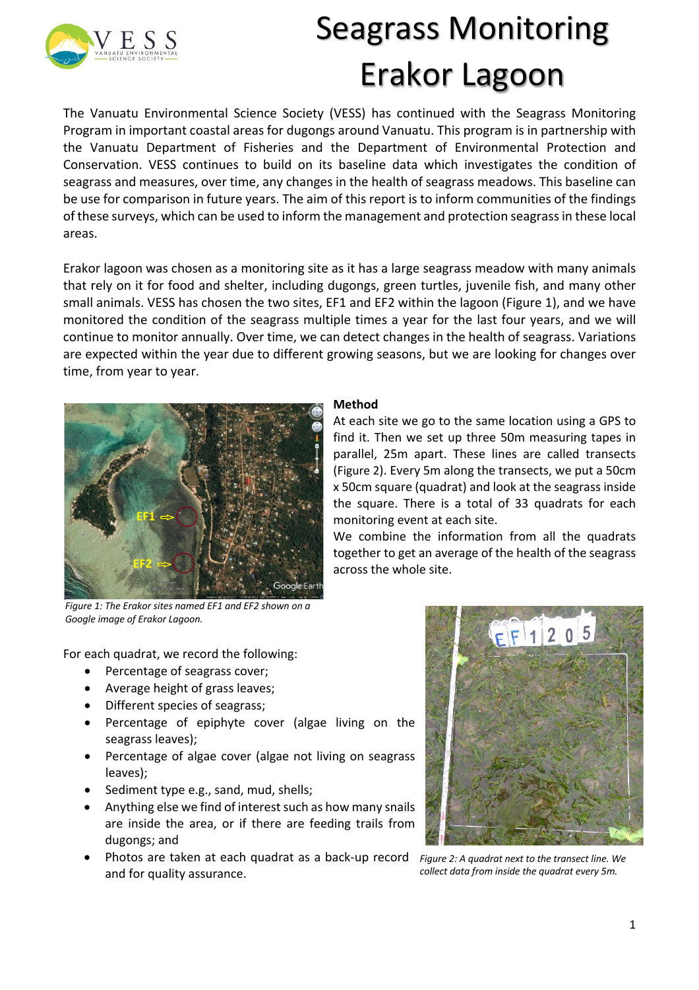

## Seagrass Monitoring Erakor Lagoon

At each site we go to the same location using a GPS to find it. Then we set up three 50m measuring tapes in parallel, 25m apart. These lines are called transects (Figure 2). Every 5m along the transects, we put a 50cm x 50cm square (quadrat) and look at the seagrass inside the square. There is a total of 33 quadrats for each

We combine the information from all the quadrats together to get an average of the health of the seagrass

The Vanuatu Environmental Science Society (VESS) has continued with the Seagrass Monitoring Program in important coastal areas for dugongs around Vanuatu. This program is in partnership with the Vanuatu Department of Fisheries and the Department of Environmental Protection and Conservation. VESS continues to build on its baseline data which investigates the condition of seagrass and measures, over time, any changes in the health of seagrass meadows. This baseline can be use for comparison in future years. The aim of this report is to inform communities of the findings of these surveys, which can be used to inform the management and protection seagrass in these local areas.

Erakor lagoon was chosen as a monitoring site as it has a large seagrass meadow with many animals that rely on it for food and shelter, including dugongs, green turtles, juvenile fish, and many other small animals. VESS has chosen the two sites, EF1 and EF2 within the lagoon (Figure 1), and we have monitored the condition of the seagrass multiple times a year for the last four years, and we will continue to monitor annually. Over time, we can detect changes in the health of seagrass. Variations are expected within the year due to different growing seasons, but we are looking for changes over time, from year to year.

**Method**

monitoring event at each site.

across the whole site.



*Figure 1: The Erakor sites named EF1 and EF2 shown on a Google image of Erakor Lagoon.*

For each quadrat, we record the following:

- Percentage of seagrass cover;
- Average height of grass leaves;
- Different species of seagrass;
- Percentage of epiphyte cover (algae living on the seagrass leaves);
- Percentage of algae cover (algae not living on seagrass leaves);
- Sediment type e.g., sand, mud, shells;
- Anything else we find of interest such as how many snails are inside the area, or if there are feeding trails from dugongs; and
- Photos are taken at each quadrat as a back-up record *Figure 2: A quadrat next to the transect line. We*  and for quality assurance.

## $F$  $1205$

*collect data from inside the quadrat every 5m.*

1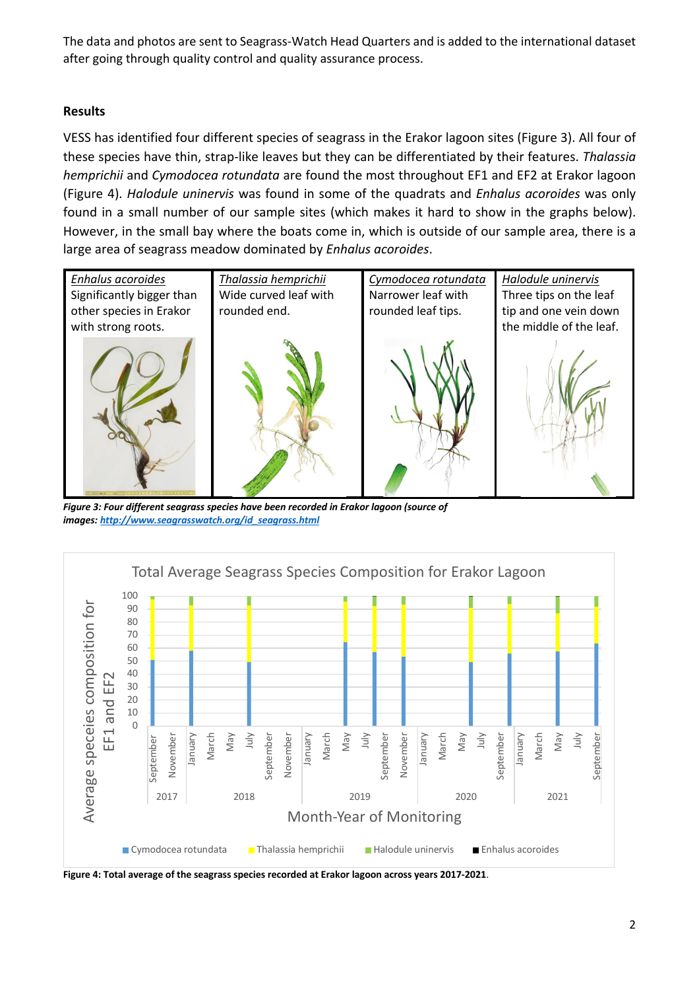The data and photos are sent to Seagrass-Watch Head Quarters and is added to the international dataset after going through quality control and quality assurance process.

## **Results**

VESS has identified four different species of seagrass in the Erakor lagoon sites (Figure 3). All four of these species have thin, strap-like leaves but they can be differentiated by their features. *Thalassia hemprichii* and *Cymodocea rotundata* are found the most throughout EF1 and EF2 at Erakor lagoon (Figure 4). *Halodule uninervis* was found in some of the quadrats and *Enhalus acoroides* was only found in a small number of our sample sites (which makes it hard to show in the graphs below). However, in the small bay where the boats come in, which is outside of our sample area, there is a large area of seagrass meadow dominated by *Enhalus acoroides*.



*Figure 3: Four different seagrass species have been recorded in Erakor lagoon (source of images: http://www.seagrasswatch.org/id\_seagrass.html*



**Figure 4: Total average of the seagrass species recorded at Erakor lagoon across years 2017-2021**.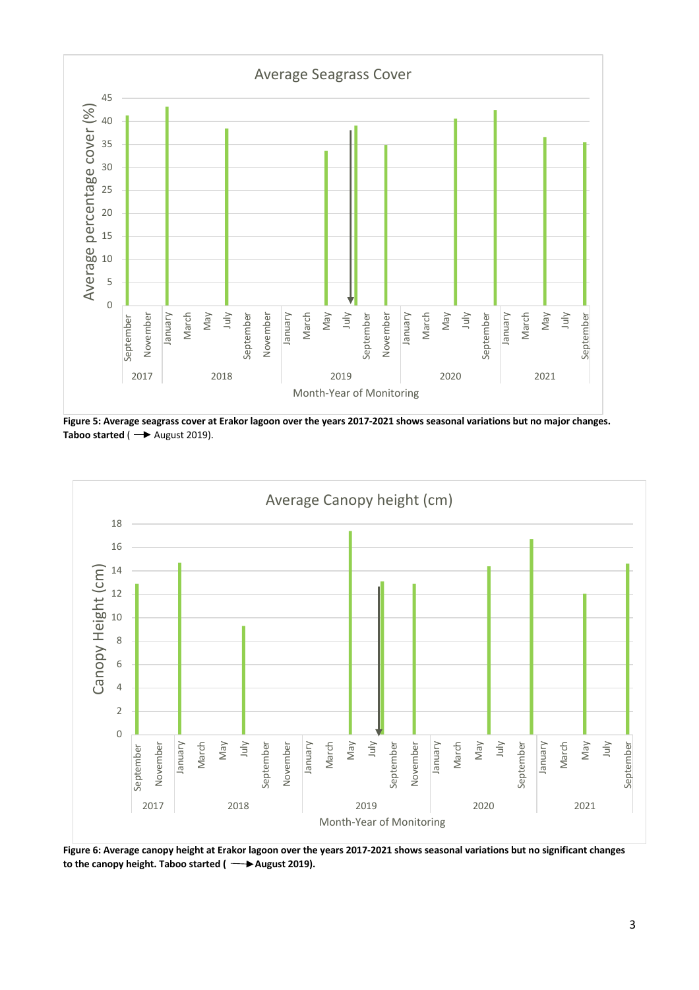

**Figure 5: Average seagrass cover at Erakor lagoon over the years 2017-2021 shows seasonal variations but no major changes. Taboo started** ( $\rightarrow$  August 2019).



**Figure 6: Average canopy height at Erakor lagoon over the years 2017-2021 shows seasonal variations but no significant changes**  to the canopy height. Taboo started ( $\rightarrow$ August 2019).